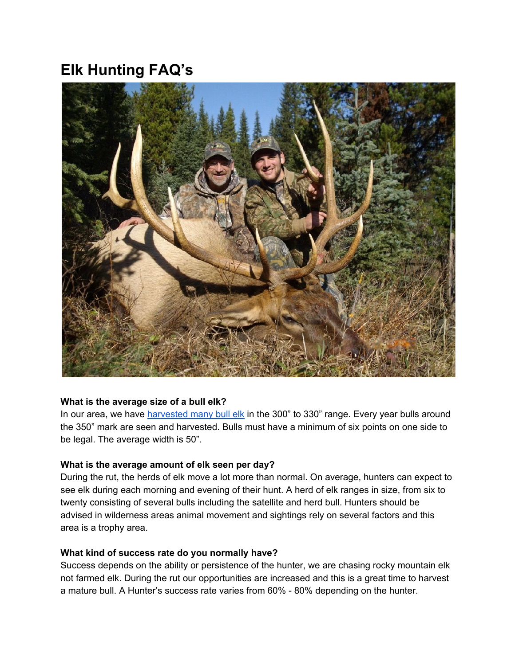# **Elk Hunting FAQ's**



#### **What is the average size of a bull elk?**

In our area, we have [harvested](http://toaltd.com/project/elk-hunts/) many bull elk in the 300" to 330" range. Every year bulls around the 350" mark are seen and harvested. Bulls must have a minimum of six points on one side to be legal. The average width is 50".

# **What is the average amount of elk seen per day?**

During the rut, the herds of elk move a lot more than normal. On average, hunters can expect to see elk during each morning and evening of their hunt. A herd of elk ranges in size, from six to twenty consisting of several bulls including the satellite and herd bull. Hunters should be advised in wilderness areas animal movement and sightings rely on several factors and this area is a trophy area.

#### **What kind of success rate do you normally have?**

Success depends on the ability or persistence of the hunter, we are chasing rocky mountain elk not farmed elk. During the rut our opportunities are increased and this is a great time to harvest a mature bull. A Hunter's success rate varies from 60% - 80% depending on the hunter.